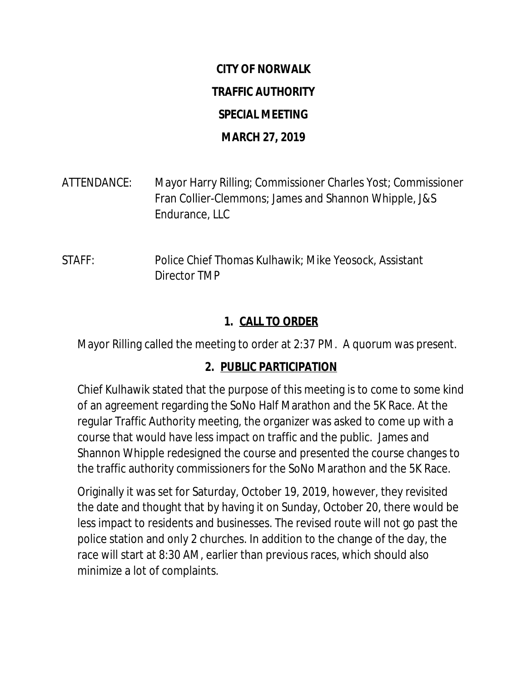# **CITY OF NORWALK TRAFFIC AUTHORITY SPECIAL MEETING MARCH 27, 2019**

ATTENDANCE: Mayor Harry Rilling; Commissioner Charles Yost; Commissioner Fran Collier-Clemmons; James and Shannon Whipple, J&S Endurance, LLC

STAFF: Police Chief Thomas Kulhawik; Mike Yeosock, Assistant Director TMP

#### **1. CALL TO ORDER**

Mayor Rilling called the meeting to order at 2:37 PM. A quorum was present.

#### **2. PUBLIC PARTICIPATION**

Chief Kulhawik stated that the purpose of this meeting is to come to some kind of an agreement regarding the SoNo Half Marathon and the 5K Race. At the regular Traffic Authority meeting, the organizer was asked to come up with a course that would have less impact on traffic and the public. James and Shannon Whipple redesigned the course and presented the course changes to the traffic authority commissioners for the SoNo Marathon and the 5K Race.

Originally it was set for Saturday, October 19, 2019, however, they revisited the date and thought that by having it on Sunday, October 20, there would be less impact to residents and businesses. The revised route will not go past the police station and only 2 churches. In addition to the change of the day, the race will start at 8:30 AM, earlier than previous races, which should also minimize a lot of complaints.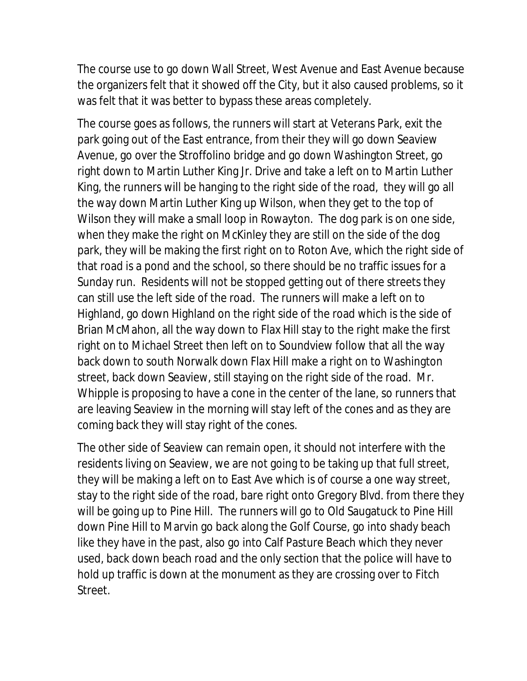The course use to go down Wall Street, West Avenue and East Avenue because the organizers felt that it showed off the City, but it also caused problems, so it was felt that it was better to bypass these areas completely.

The course goes as follows, the runners will start at Veterans Park, exit the park going out of the East entrance, from their they will go down Seaview Avenue, go over the Stroffolino bridge and go down Washington Street, go right down to Martin Luther King Jr. Drive and take a left on to Martin Luther King, the runners will be hanging to the right side of the road, they will go all the way down Martin Luther King up Wilson, when they get to the top of Wilson they will make a small loop in Rowayton. The dog park is on one side, when they make the right on McKinley they are still on the side of the dog park, they will be making the first right on to Roton Ave, which the right side of that road is a pond and the school, so there should be no traffic issues for a Sunday run. Residents will not be stopped getting out of there streets they can still use the left side of the road. The runners will make a left on to Highland, go down Highland on the right side of the road which is the side of Brian McMahon, all the way down to Flax Hill stay to the right make the first right on to Michael Street then left on to Soundview follow that all the way back down to south Norwalk down Flax Hill make a right on to Washington street, back down Seaview, still staying on the right side of the road. Mr. Whipple is proposing to have a cone in the center of the lane, so runners that are leaving Seaview in the morning will stay left of the cones and as they are coming back they will stay right of the cones.

The other side of Seaview can remain open, it should not interfere with the residents living on Seaview, we are not going to be taking up that full street, they will be making a left on to East Ave which is of course a one way street, stay to the right side of the road, bare right onto Gregory Blvd. from there they will be going up to Pine Hill. The runners will go to Old Saugatuck to Pine Hill down Pine Hill to Marvin go back along the Golf Course, go into shady beach like they have in the past, also go into Calf Pasture Beach which they never used, back down beach road and the only section that the police will have to hold up traffic is down at the monument as they are crossing over to Fitch Street.